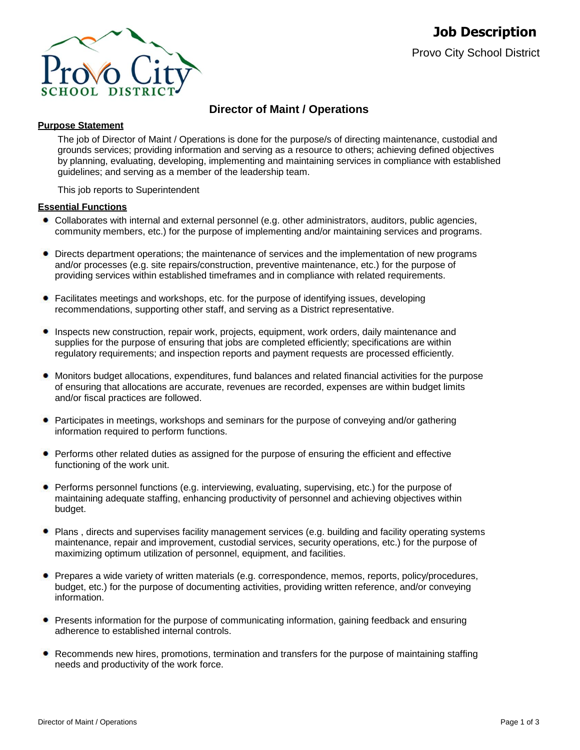

# **Director of Maint / Operations**

# **Purpose Statement**

The job of Director of Maint / Operations is done for the purpose/s of directing maintenance, custodial and grounds services; providing information and serving as a resource to others; achieving defined objectives by planning, evaluating, developing, implementing and maintaining services in compliance with established guidelines; and serving as a member of the leadership team.

This job reports to Superintendent

# **Essential Functions**

- Collaborates with internal and external personnel (e.g. other administrators, auditors, public agencies, community members, etc.) for the purpose of implementing and/or maintaining services and programs.
- Directs department operations; the maintenance of services and the implementation of new programs ٠ and/or processes (e.g. site repairs/construction, preventive maintenance, etc.) for the purpose of providing services within established timeframes and in compliance with related requirements.
- Facilitates meetings and workshops, etc. for the purpose of identifying issues, developing recommendations, supporting other staff, and serving as a District representative.
- Inspects new construction, repair work, projects, equipment, work orders, daily maintenance and supplies for the purpose of ensuring that jobs are completed efficiently; specifications are within regulatory requirements; and inspection reports and payment requests are processed efficiently.
- Monitors budget allocations, expenditures, fund balances and related financial activities for the purpose of ensuring that allocations are accurate, revenues are recorded, expenses are within budget limits and/or fiscal practices are followed.
- Participates in meetings, workshops and seminars for the purpose of conveying and/or gathering information required to perform functions.
- Performs other related duties as assigned for the purpose of ensuring the efficient and effective functioning of the work unit.
- Performs personnel functions (e.g. interviewing, evaluating, supervising, etc.) for the purpose of maintaining adequate staffing, enhancing productivity of personnel and achieving objectives within budget.
- Plans , directs and supervises facility management services (e.g. building and facility operating systems maintenance, repair and improvement, custodial services, security operations, etc.) for the purpose of maximizing optimum utilization of personnel, equipment, and facilities.
- Prepares a wide variety of written materials (e.g. correspondence, memos, reports, policy/procedures, budget, etc.) for the purpose of documenting activities, providing written reference, and/or conveying information.
- **•** Presents information for the purpose of communicating information, gaining feedback and ensuring adherence to established internal controls.
- Recommends new hires, promotions, termination and transfers for the purpose of maintaining staffing needs and productivity of the work force.